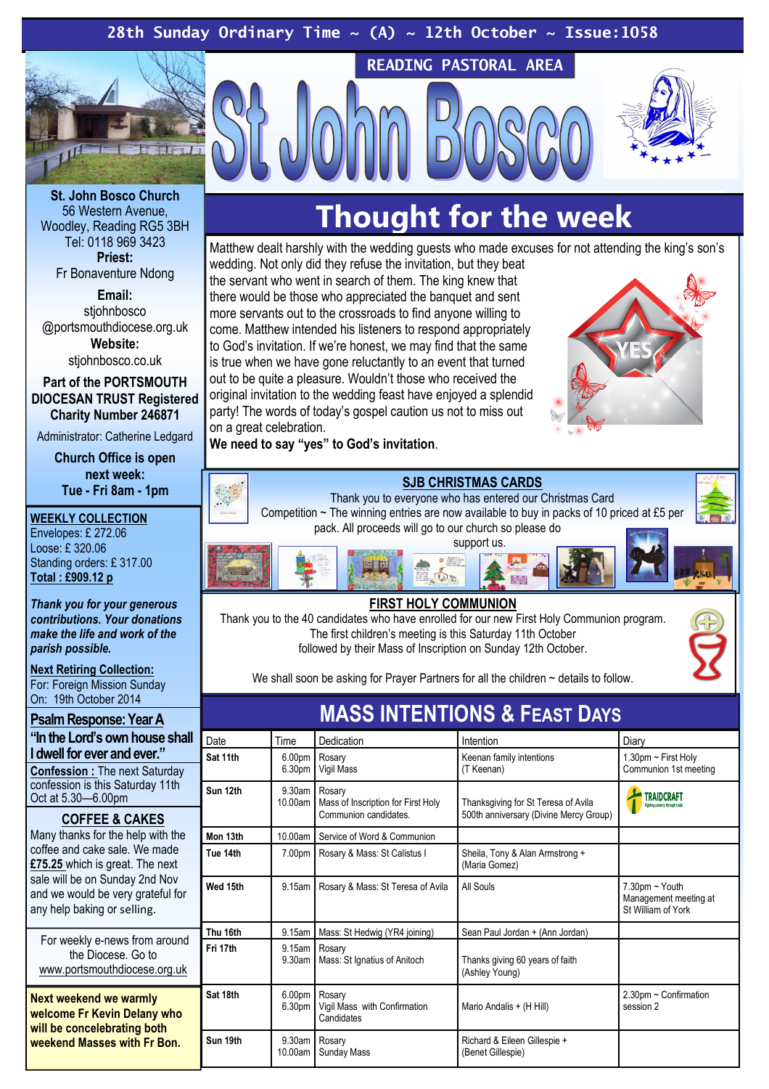# 28th Sunday Ordinary Time  $\sim$  (A)  $\sim$  12th October  $\sim$  Issue:1058



St. John Bosco Church 56 Western Avenue, Woodley, Reading RG5 3BH Tel: 0118 969 3423 Priest:

Fr Bonaventure Ndong

Email: stiohnbosco @portsmouthdiocese.org.uk Website:

stiohnbosco.co.uk

Part of the PORTSMOUTH DIOCESAN TRUST Registered Charity Number 246871

Administrator: Catherine Ledgard

Church Office is open next week: Tue - Fri 8am - 1pm

#### WEEKLY COLLECTION

Envelopes: £ 272.06 Loose: £ 320.06 Standing orders: £ 317.00 Total : £909.12 p

Thank you for your generous contributions. Your donations make the life and work of the parish possible.

Next Retiring Collection: For: Foreign Mission Sunday On: 19th October 2014

Psalm Response: Year A "In the Lord's own house shall I dwell for ever and ever." Confession : The next Saturday

confession is this Saturday 11th Oct at 5.30—6.00pm

#### COFFEE & CAKES

Many thanks for the help with the coffee and cake sale. We made £75.25 which is great. The next sale will be on Sunday 2nd Nov and we would be very grateful for any help baking or selling.

For weekly e-news from around the Diocese. Go to www.portsmouthdiocese.org.uk

Next weekend we warmly welcome Fr Kevin Delany who will be concelebrating both weekend Masses with Fr Bon.

# Thought for the week

READING PASTORAL AREA

Matthew dealt harshly with the wedding guests who made excuses for not attending the king's son's wedding. Not only did they refuse the invitation, but they beat the servant who went in search of them. The king knew that there would be those who appreciated the banquet and sent more servants out to the crossroads to find anyone willing to come. Matthew intended his listeners to respond appropriately to God's invitation. If we're honest, we may find that the same is true when we have gone reluctantly to an event that turned out to be quite a pleasure. Wouldn't those who received the original invitation to the wedding feast have enjoyed a splendid party! The words of today's gospel caution us not to miss out on a great celebration.

We need to say "yes" to God's invitation.